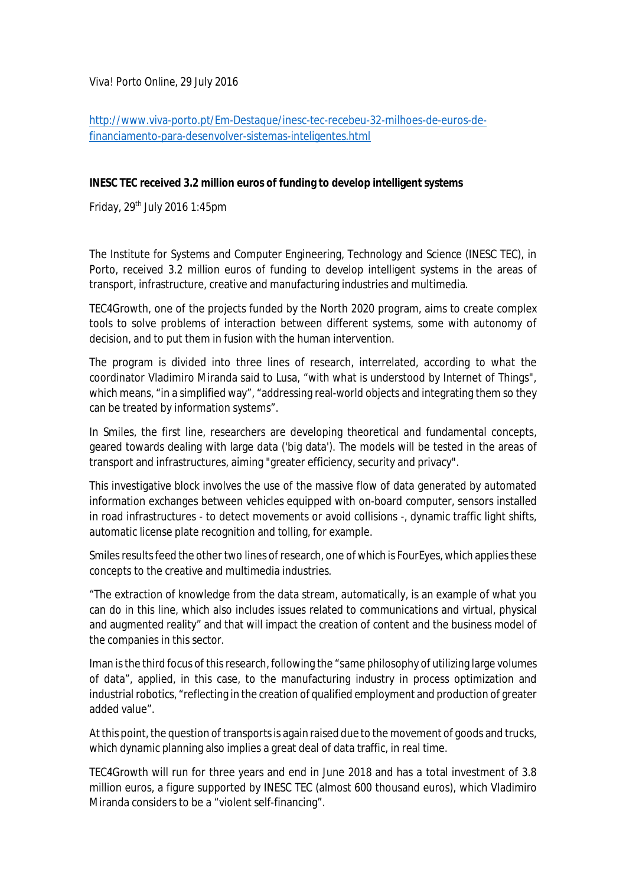*Viva! Porto Online*, 29 July 2016

[http://www.viva-porto.pt/Em-Destaque/inesc-tec-recebeu-32-milhoes-de-euros-de](http://www.viva-porto.pt/Em-Destaque/inesc-tec-recebeu-32-milhoes-de-euros-de-)financiamento-para-desenvolver-sistemas-inteligentes.html

## **INESC TEC received 3.2 million euros of funding to develop intelligent systems**

Friday, 29th July 2016 1:45pm

The Institute for Systems and Computer Engineering, Technology and Science (INESC TEC), in Porto, received 3.2 million euros of funding to develop intelligent systems in the areas of transport, infrastructure, creative and manufacturing industries and multimedia.

TEC4Growth, one of the projects funded by the North 2020 program, aims to create complex tools to solve problems of interaction between different systems, some with autonomy of decision, and to put them in fusion with the human intervention.

The program is divided into three lines of research, interrelated, according to what the coordinator Vladimiro Miranda said to Lusa, "with what is understood by Internet of Things", which means, "in a simplified way", "addressing real-world objects and integrating them so they can be treated by information systems".

In Smiles, the first line, researchers are developing theoretical and fundamental concepts, geared towards dealing with large data ('big data'). The models will be tested in the areas of transport and infrastructures, aiming "greater efficiency, security and privacy".

This investigative block involves the use of the massive flow of data generated by automated information exchanges between vehicles equipped with on-board computer, sensors installed in road infrastructures - to detect movements or avoid collisions -, dynamic traffic light shifts, automatic license plate recognition and tolling, for example.

Smiles results feed the other two lines of research, one of which is FourEyes, which applies these concepts to the creative and multimedia industries.

"The extraction of knowledge from the data stream, automatically, is an example of what you can do in this line, which also includes issues related to communications and virtual, physical and augmented reality" and that will impact the creation of content and the business model of the companies in this sector.

Iman is the third focus of this research, following the "same philosophy of utilizing large volumes of data", applied, in this case, to the manufacturing industry in process optimization and industrial robotics, "reflecting in the creation of qualified employment and production of greater added value".

At this point, the question of transports is again raised due to the movement of goods and trucks, which dynamic planning also implies a great deal of data traffic, in real time.

TEC4Growth will run for three years and end in June 2018 and has a total investment of 3.8 million euros, a figure supported by INESC TEC (almost 600 thousand euros), which Vladimiro Miranda considers to be a "violent self-financing".